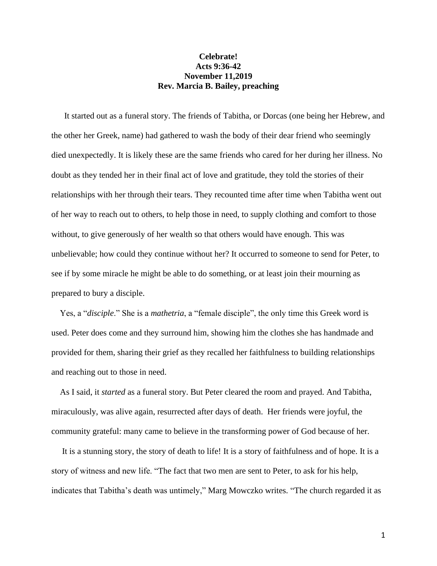## **Celebrate! Acts 9:36-42 November 11,2019 Rev. Marcia B. Bailey, preaching**

It started out as a funeral story. The friends of Tabitha, or Dorcas (one being her Hebrew, and the other her Greek, name) had gathered to wash the body of their dear friend who seemingly died unexpectedly. It is likely these are the same friends who cared for her during her illness. No doubt as they tended her in their final act of love and gratitude, they told the stories of their relationships with her through their tears. They recounted time after time when Tabitha went out of her way to reach out to others, to help those in need, to supply clothing and comfort to those without, to give generously of her wealth so that others would have enough. This was unbelievable; how could they continue without her? It occurred to someone to send for Peter, to see if by some miracle he might be able to do something, or at least join their mourning as prepared to bury a disciple.

 Yes, a "*disciple*." She is a *mathetria*, a "female disciple", the only time this Greek word is used. Peter does come and they surround him, showing him the clothes she has handmade and provided for them, sharing their grief as they recalled her faithfulness to building relationships and reaching out to those in need.

 As I said, it *started* as a funeral story. But Peter cleared the room and prayed. And Tabitha, miraculously, was alive again, resurrected after days of death. Her friends were joyful, the community grateful: many came to believe in the transforming power of God because of her.

 It is a stunning story, the story of death to life! It is a story of faithfulness and of hope. It is a story of witness and new life. "The fact that two men are sent to Peter, to ask for his help, indicates that Tabitha's death was untimely," Marg Mowczko writes. "The church regarded it as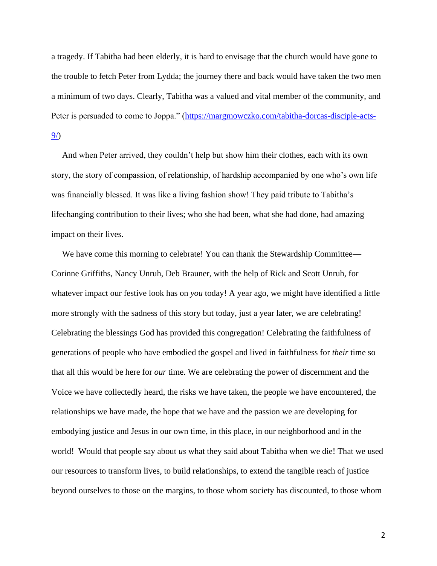a tragedy. If Tabitha had been elderly, it is hard to envisage that the church would have gone to the trouble to fetch Peter from Lydda; the journey there and back would have taken the two men a minimum of two days. Clearly, Tabitha was a valued and vital member of the community, and Peter is persuaded to come to Joppa." [\(https://margmowczko.com/tabitha-dorcas-disciple-acts-](https://margmowczko.com/tabitha-dorcas-disciple-acts-9/)[9/\)](https://margmowczko.com/tabitha-dorcas-disciple-acts-9/)

 And when Peter arrived, they couldn't help but show him their clothes, each with its own story, the story of compassion, of relationship, of hardship accompanied by one who's own life was financially blessed. It was like a living fashion show! They paid tribute to Tabitha's lifechanging contribution to their lives; who she had been, what she had done, had amazing impact on their lives.

We have come this morning to celebrate! You can thank the Stewardship Committee— Corinne Griffiths, Nancy Unruh, Deb Brauner, with the help of Rick and Scott Unruh, for whatever impact our festive look has on *you* today! A year ago, we might have identified a little more strongly with the sadness of this story but today, just a year later, we are celebrating! Celebrating the blessings God has provided this congregation! Celebrating the faithfulness of generations of people who have embodied the gospel and lived in faithfulness for *their* time so that all this would be here for *our* time. We are celebrating the power of discernment and the Voice we have collectedly heard, the risks we have taken, the people we have encountered, the relationships we have made, the hope that we have and the passion we are developing for embodying justice and Jesus in our own time, in this place, in our neighborhood and in the world! Would that people say about *us* what they said about Tabitha when we die! That we used our resources to transform lives, to build relationships, to extend the tangible reach of justice beyond ourselves to those on the margins, to those whom society has discounted, to those whom

2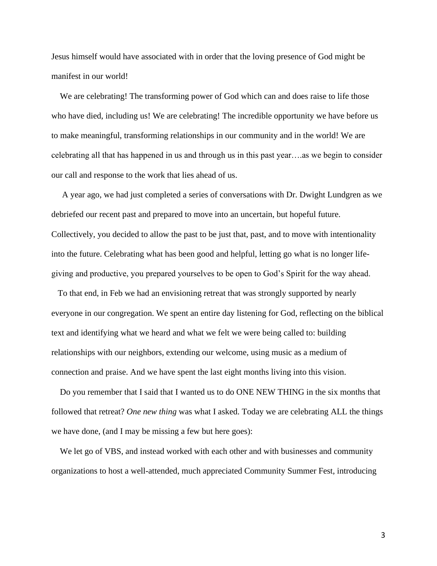Jesus himself would have associated with in order that the loving presence of God might be manifest in our world!

 We are celebrating! The transforming power of God which can and does raise to life those who have died, including us! We are celebrating! The incredible opportunity we have before us to make meaningful, transforming relationships in our community and in the world! We are celebrating all that has happened in us and through us in this past year….as we begin to consider our call and response to the work that lies ahead of us.

 A year ago, we had just completed a series of conversations with Dr. Dwight Lundgren as we debriefed our recent past and prepared to move into an uncertain, but hopeful future. Collectively, you decided to allow the past to be just that, past, and to move with intentionality into the future. Celebrating what has been good and helpful, letting go what is no longer lifegiving and productive, you prepared yourselves to be open to God's Spirit for the way ahead.

 To that end, in Feb we had an envisioning retreat that was strongly supported by nearly everyone in our congregation. We spent an entire day listening for God, reflecting on the biblical text and identifying what we heard and what we felt we were being called to: building relationships with our neighbors, extending our welcome, using music as a medium of connection and praise. And we have spent the last eight months living into this vision.

 Do you remember that I said that I wanted us to do ONE NEW THING in the six months that followed that retreat? *One new thing* was what I asked. Today we are celebrating ALL the things we have done, (and I may be missing a few but here goes):

 We let go of VBS, and instead worked with each other and with businesses and community organizations to host a well-attended, much appreciated Community Summer Fest, introducing

3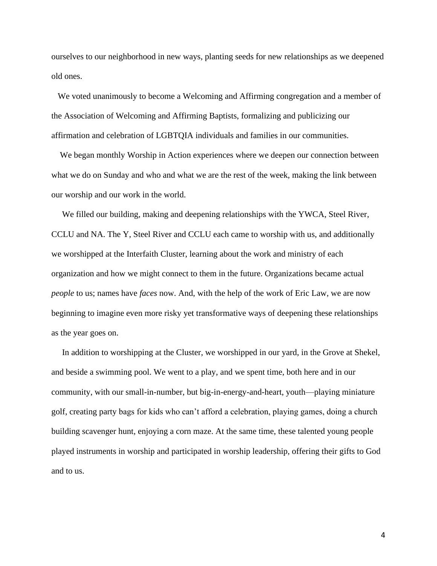ourselves to our neighborhood in new ways, planting seeds for new relationships as we deepened old ones.

 We voted unanimously to become a Welcoming and Affirming congregation and a member of the Association of Welcoming and Affirming Baptists, formalizing and publicizing our affirmation and celebration of LGBTQIA individuals and families in our communities.

 We began monthly Worship in Action experiences where we deepen our connection between what we do on Sunday and who and what we are the rest of the week, making the link between our worship and our work in the world.

 We filled our building, making and deepening relationships with the YWCA, Steel River, CCLU and NA. The Y, Steel River and CCLU each came to worship with us, and additionally we worshipped at the Interfaith Cluster, learning about the work and ministry of each organization and how we might connect to them in the future. Organizations became actual *people* to us; names have *faces* now. And, with the help of the work of Eric Law, we are now beginning to imagine even more risky yet transformative ways of deepening these relationships as the year goes on.

 In addition to worshipping at the Cluster, we worshipped in our yard, in the Grove at Shekel, and beside a swimming pool. We went to a play, and we spent time, both here and in our community, with our small-in-number, but big-in-energy-and-heart, youth—playing miniature golf, creating party bags for kids who can't afford a celebration, playing games, doing a church building scavenger hunt, enjoying a corn maze. At the same time, these talented young people played instruments in worship and participated in worship leadership, offering their gifts to God and to us.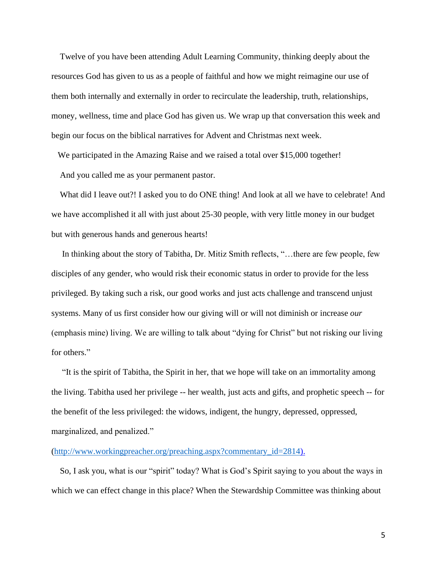Twelve of you have been attending Adult Learning Community, thinking deeply about the resources God has given to us as a people of faithful and how we might reimagine our use of them both internally and externally in order to recirculate the leadership, truth, relationships, money, wellness, time and place God has given us. We wrap up that conversation this week and begin our focus on the biblical narratives for Advent and Christmas next week.

 We participated in the Amazing Raise and we raised a total over \$15,000 together! And you called me as your permanent pastor.

 What did I leave out?! I asked you to do ONE thing! And look at all we have to celebrate! And we have accomplished it all with just about 25-30 people, with very little money in our budget but with generous hands and generous hearts!

 In thinking about the story of Tabitha, Dr. Mitiz Smith reflects, "…there are few people, few disciples of any gender, who would risk their economic status in order to provide for the less privileged. By taking such a risk, our good works and just acts challenge and transcend unjust systems. Many of us first consider how our giving will or will not diminish or increase *our* (emphasis mine) living. We are willing to talk about "dying for Christ" but not risking our living for others."

 "It is the spirit of Tabitha, the Spirit in her, that we hope will take on an immortality among the living. Tabitha used her privilege -- her wealth, just acts and gifts, and prophetic speech -- for the benefit of the less privileged: the widows, indigent, the hungry, depressed, oppressed, marginalized, and penalized."

## [\(http://www.workingpreacher.org/preaching.aspx?commentary\\_id=2814\)](http://www.workingpreacher.org/preaching.aspx?commentary_id=2814).

 So, I ask you, what is our "spirit" today? What is God's Spirit saying to you about the ways in which we can effect change in this place? When the Stewardship Committee was thinking about